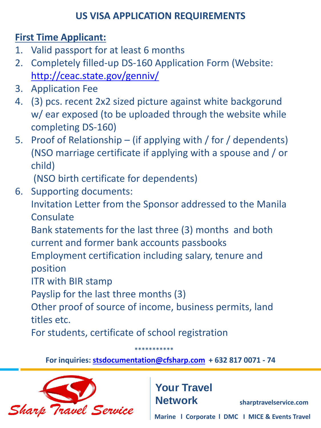### **US VISA APPLICATION REQUIREMENTS**

# **First Time Applicant:**

- 1. Valid passport for at least 6 months
- 2. Completely filled-up DS-160 Application Form (Website: <http://ceac.state.gov/genniv/>
- 3. Application Fee
- 4. (3) pcs. recent 2x2 sized picture against white backgorund w/ ear exposed (to be uploaded through the website while completing DS-160)
- 5. Proof of Relationship (if applying with / for / dependents) (NSO marriage certificate if applying with a spouse and / or child)

(NSO birth certificate for dependents)

6. Supporting documents:

Invitation Letter from the Sponsor addressed to the Manila **Consulate** 

Bank statements for the last three (3) months and both current and former bank accounts passbooks

Employment certification including salary, tenure and position

ITR with BIR stamp

Payslip for the last three months (3)

Other proof of source of income, business permits, land titles etc.

\*\*\*\*\*\*\*\*\*\*\*

For students, certificate of school registration

**For inquiries: [stsdocumentation@cfsharp.com](mailto:stsdocumentation@cfsharp.com) + 632 817 0071 - 74**



**Your Travel Network**

**sharptravelservice.com**

**Marine l Corporate l DMC I MICE & Events Travel**